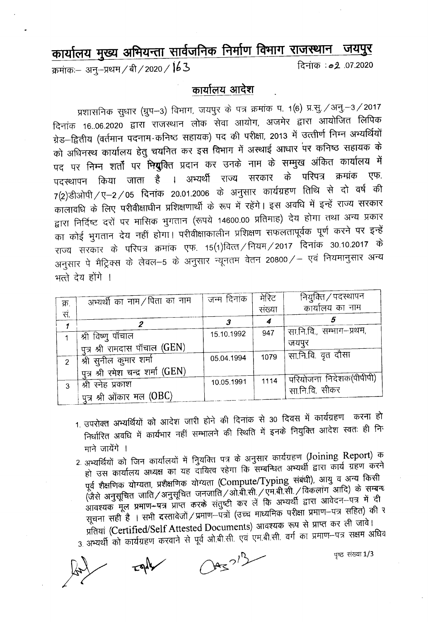## कार्यालय मुख्य अभियन्ता सार्वजनिक निर्माण विमाग राजस्थान जयपुर

क्रमांकः– अनु–प्रथम / बी / 2020 /  $163$ 

दिनांक : 02 .07.2020

## कार्यालय आदेश

प्रशासनिक सुधार (ग्रुप-3) विभाग, जयपुर के पत्र क्रमांक प. 1(6) प्र.सु. / अनु. - 3 / 2017 दिनांक 16.06.2020 द्वारा राजस्थान लोक सेवा आयोग, अजमेर द्वारा आयोजित लिपिक ग्रेड–द्वितीय (वर्तमान पदनाम कनिष्ठ सहायक) पद की परीक्षा, 2013 में उत्तीर्ण निम्न अभ्यर्थियों को अधिनस्थ कार्यालय हेतु चयनित कर इस विभाग में अस्थाई आधार पर कनिष्ठ सहायक के पद पर निम्न शर्तों पर <del>नि</del>युक्ति प्रदान कर उनके नाम के सम्मुख अंकित कार्यालय में पदस्थापन किया जाता है । अभ्यर्थी राज्य सरकार के परिपत्र क्रमांक एफ. 7(2)डीओपी / ए–2 / 05 दिनांक 20.01.2006 के अनुसार कार्यग्रहण तिथि से दो वर्ष की कालावधि के लिए परीवीक्षाधीन प्रशिक्षणार्थी के रूप में रहेंगे। इस अवधि में इन्हें राज्य सरकार द्वारा निर्दिष्ट दरों पर मासिक भुगतान (रूपये 14600.00 प्रतिमाह) देय होगा तथा अन्य प्रकार का कोई भुगतान देय नहीं होगा। परीवीक्षाकालीन प्रशिक्षण सफलतापूर्वक पूर्ण करने पर इन्हें राज्य सरकार के परिपत्र क्रमांक एफ. 15(1)वित्त /नियम / 2017 दिनांक 30.10.2017 के अनुसार पे मैट्रिक्स के लेवल–5 के अनुसार न्यूनतम वेतन 20800/– एवं नियमानुसार अन्य भत्ते देय होंगे ।

|               | अभ्यर्थी का नाम / पिता का नाम      | जन्म दिनांक | मेरिट  | नियुक्ति / पदस्थापन      |
|---------------|------------------------------------|-------------|--------|--------------------------|
| क्र.<br>स.    |                                    |             | संख्या | कार्यालय का नाम          |
|               |                                    |             | 4      |                          |
|               | श्री विष्णू पॉचाल                  | 15.10.1992  | 947    | सा.नि.वि., सम्भाग-प्रथम, |
|               | पुत्र श्री रामदास पाँचाल (GEN)     |             |        | जयपुर                    |
| $\mathcal{P}$ | श्री सुनील कुमार शर्मा             | 05.04.1994  | 1079   | सा.नि.वि. वृत दौसा       |
|               | पुत्र श्री रमेश चन्द्र शर्मा (GEN) |             |        |                          |
| 3             | श्री स्नेह प्रकाश                  | 10.05.1991  | 1114   | परियोजना निदेशक(पीपीपी)  |
|               | पुत्र श्री ओंकार मल $(OBC)$        |             |        | सा.नि.वि. सीकर           |

- 1. उपरोक्त अभ्यर्थियों को आदेश जारी होने की दिनांक से 30 दिवस में कार्यग्रहण करना हो निर्धारित अवधि में कार्यभार नहीं सम्भालने की स्थिति में इनके नियुक्ति आदेश स्वतः ही नि माने जायेंगे ।
- 2. अभ्यर्थियों को जिन कार्यालयों में नुियक्ति पत्र के अनुसार कार्यग्रहण (Joining Report) क हो उस कार्यालय अध्यक्ष का यह दायित्व रहेगा कि सम्बन्धित अभ्यर्थी द्वारा कार्य ग्रहण करने पूर्व शैक्षणिक योग्यता, प्रशैक्षणिक योग्यता (Compute/Typing संबंधी), आयु व अन्य किसी<br>(जैसे अनुसूचित जाति/अनुसूचित जनजाति/ओ.बी.सी./एम.बी.सी./विकलांग आदि) के सम्बन्ध आवश्यक मूल प्रमाण-पत्र प्राप्त करके संतुष्टी कर लें कि अभ्यर्थी द्वारा आवेदन-पत्र में दी सूचना सही है । सभी दस्तावेजों / प्रमाण-पंत्रों (उच्च माध्यमिक परीक्षा प्रमाण-पत्र सहित) की र

प्रतियां (Certified/Self Attested Documents) आवश्यक रूप से प्राप्त कर ली जावे। 3. अभ्यर्थी को कार्यग्रहण करवाने से पूर्व ओ.बी.सी. एवं एम.बी.सी. वर्ग का प्रमाण--पत्र सक्षम अधिव

**पुष्ट** संख्या 1/3

 $Oas^{2l^{1}}$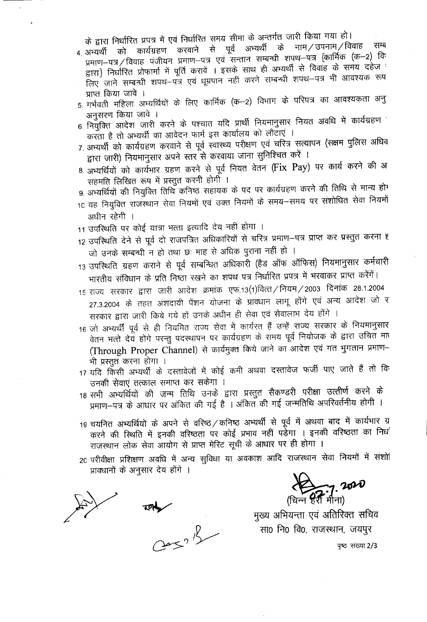के द्वारा निर्धारित प्रपत्र में एवं निर्धारित समय सीमा के अन्तर्गत जारी किया गया हो।

- कार्यग्रहण करवाने से पूर्व अभ्यर्थी के नाम ⁄ उपनाम ⁄ विवाह सम्ब 4. अभ्यर्थी को प्रमाण--पत्र / विवाह) पंजीयन प्रमाण--पत्र एवं सन्तान सम्बन्धी शपथ--पत्र {कार्मिक (क-2) विः द्वारा} निर्धारित प्रोफार्मा में पूर्ति करावें । इसके साथ ही अभ्यर्थी से विवाह के समय दहेज लिए जाने सम्बन्धी शपथ–पत्र एवं धूम्रपान नहीं करने सम्बन्धी शपथ–पत्र भी आवश्यक रूप प्राप्त किया जावे ।
- 5. गर्भवती महिला अभ्यर्थियों के लिए कार्मिक (क–2) विभाग के परिपत्र का आवश्यकता अनु अनुसरण किया जावे ।
- 6. नियुक्ति आदेश जारी करने के पश्चात यदि प्रार्थी नियमानुसार नियत अवधि में कार्यग्रहण करता है तो अभ्यर्थी का आवेदन फार्म इस कार्यालय को लौटाएं ।
- 7. अभ्यर्थी को कार्यग्रहण करवाने से पूर्व स्वास्थ्य परीक्षण एवं चरित्र सत्यापन (सक्षम पुलिस अधिव द्वारा जारी) नियमानुसार अपने स्तर से करवाया जाना सुनिश्चित करें ।
- 8. अभ्यर्थियों को कार्यभार ग्रहण करने से पूर्व नियत वेतन (Fix Pay) पर कार्य करने की अ सहमति लिखित रूप में प्रस्तुत करनी होगी ।
- 9. अभ्यर्थियों की नियुक्ति तिथि कनिष्ठ सहायक के पद पर कार्यग्रहण करने की तिथि से मान्य होग
- 10 यह नियुक्ति राजस्थान सेवा नियमों एवं उक्त नियमों के समय-समय पर संशोधित सेवा नियमों अधीन रहेगी ।
- 11 उपस्थिति पर कोई यात्रा भत्ता इत्यादि देय नहीं होगा ।
- 12 उपस्थिति देने से पूर्व दो राजपत्रित अधिकारियों से चरित्र प्रमाण-पत्र प्राप्त कर प्रस्तुत करना ह जो उनके सम्बन्धी न हो तथा छः माह से अधिक पुराना नहीं हो ।
- 13 उपस्थिति ग्रहण कराने से पूर्व सम्बन्धित अधिकारी (हैड ऑफ ऑफिस) नियमानुसार कर्मचारी भारतीय संविधान के प्रति निष्ठा रखने का शपथ पत्र निर्धारित प्रपत्र में भरवाकर प्राप्त करेंगें।
- 15 राज्य सरकार द्वारा जारी आदेश क्रमांक एफ.13(1)वित्त / नियम / 2003 दिनांक 28.1.2004 27.3.2004 के तहत अंशदायी पेंशन योजना के प्रावधान लागू होंगे एवं अन्य आदेश जो र सरकार द्वारा जारी किये गये हों उनके अधीन ही सेवा एवं सेवालाभ देय होंगे ।
- 16 जो अभ्यर्थी पूर्व से ही नियमित राज्य सेवा में कार्यरत हैं उन्हें राज्य सरकार के नियमानुसार वेतन भत्ते देय होंगे परन्तु पदस्थापन पर कार्यग्रहण के समय पूर्व नियोजक के द्वारा उचित मा (Through Proper Channel) से कार्यमुक्त किये जाने का आदेश एवं गत भुगतान प्रमाण-भी प्रस्तुत करना होगा ।
- 17 यदि किसी अभ्यर्थी के दस्तावेजों में कोई कमी अथवा दस्तावेज फर्जी पाए जाते हैं तो वि उनकी सेवाएं तत्काल समाप्त कर सकेंगा ।
- 18 सभी अभ्यर्थियों की जन्म तिथि उनके द्वारा प्रस्तुत सैकण्डरी परीक्षा उत्त्तीर्ण करने के प्रमाण-पत्र के आधार पर अंकित की गई है । अंकित की गई जन्मतिथि अपरिवर्तनीय होगी ।
- 19 चयनित अभ्यर्थियों के अपने से वरिष्ठ / कनिष्ठ अभ्यर्थी से पूर्व में अथवा बाद में कार्यभार ग्र करने की स्थिति में इनकी वरिष्ठता पर कोई प्रभाव नहीं पड़ेंगा । इनकी वरिष्ठता का निध राजस्थान लोक सेवा आयोग से प्राप्त मेरिट सूची के आधार पर ही होगा ।
- 20 परीवीक्षा प्रशिक्षण अवधि में अन्य सुविधा या अवकाश आदि राजस्थान सेवा नियमों में संशो प्रावधानों के अनुसार देय होंगे ।

मुख्य अभियन्ता एवं अतिरिक्त सचिव सा0 नि0 वि0, राजस्थान, जयपुर

पृष्ट संख्या 2/3

 $\sum_{n\in\mathbb{N}} 7.2020$ 

 $20<sup>1</sup>$